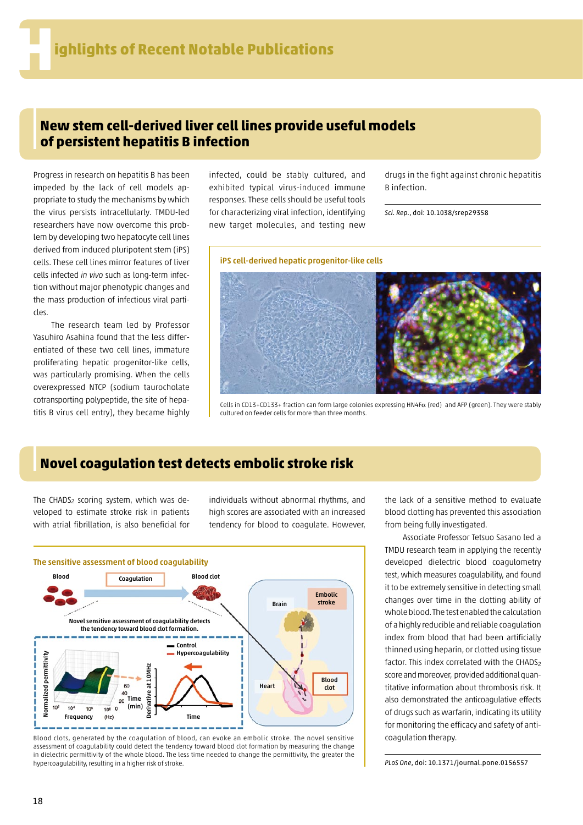## **New stem cell-derived liver cell lines provide useful models of persistent hepatitis B infection**

Progress in research on hepatitis B has been impeded by the lack of cell models appropriate to study the mechanisms by which the virus persists intracellularly. TMDU-led researchers have now overcome this problem by developing two hepatocyte cell lines derived from induced pluripotent stem (iPS) cells. These cell lines mirror features of liver cells infected *in vivo* such as long-term infection without major phenotypic changes and the mass production of infectious viral particles.

The research team led by Professor Yasuhiro Asahina found that the less differentiated of these two cell lines, immature proliferating hepatic progenitor-like cells, was particularly promising. When the cells overexpressed NTCP (sodium taurocholate cotransporting polypeptide, the site of hepatitis B virus cell entry), they became highly infected, could be stably cultured, and exhibited typical virus-induced immune responses. These cells should be useful tools for characterizing viral infection, identifying new target molecules, and testing new

iPS cell-derived hepatic progenitor-like cells

drugs in the fight against chronic hepatitis B infection.

*Sci. Rep*., doi: 10.1038/srep29358

Cells in CD13+CD133+ fraction can form large colonies expressing HN4Fa (red) and AFP (green). They were stably cultured on feeder cells for more than three months.

## **Novel coagulation test detects embolic stroke risk**

The CHADS<sub>2</sub> scoring system, which was developed to estimate stroke risk in patients with atrial fibrillation, is also beneficial for individuals without abnormal rhythms, and high scores are associated with an increased tendency for blood to coagulate. However,



Blood clots, generated by the coagulation of blood, can evoke an embolic stroke. The novel sensitive assessment of coagulability could detect the tendency toward blood clot formation by measuring the change in dielectric permittivity of the whole blood. The less time needed to change the permittivity, the greater the hypercoagulability, resulting in a higher risk of stroke.

the lack of a sensitive method to evaluate blood clotting has prevented this association from being fully investigated.

Associate Professor Tetsuo Sasano led a TMDU research team in applying the recently developed dielectric blood coagulometry test, which measures coagulability, and found it to be extremely sensitive in detecting small changes over time in the clotting ability of whole blood. The test enabled the calculation of a highly reducible and reliable coagulation index from blood that had been artificially thinned using heparin, or clotted using tissue factor. This index correlated with the CHADS<sub>2</sub> score and moreover, provided additional quantitative information about thrombosis risk. It also demonstrated the anticoagulative effects of drugs such as warfarin, indicating its utility for monitoring the efficacy and safety of anticoagulation therapy.

*PLoS One*, doi: 10.1371/journal.pone.0156557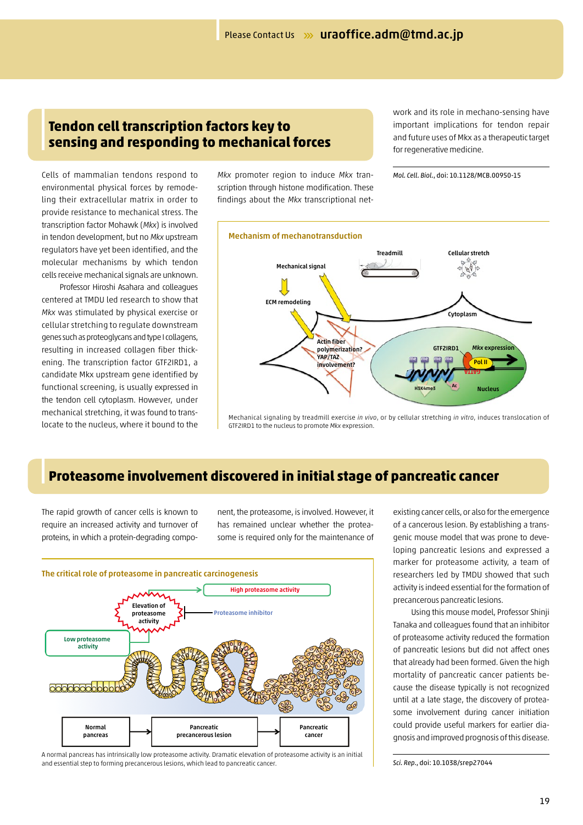#### **Tendon cell transcription factors key to sensing and responding to mechanical forces**

Cells of mammalian tendons respond to environmental physical forces by remodeling their extracellular matrix in order to provide resistance to mechanical stress. The transcription factor Mohawk (*Mkx*) is involved in tendon development, but no *Mkx* upstream regulators have yet been identified, and the molecular mechanisms by which tendon cells receive mechanical signals are unknown.

Professor Hiroshi Asahara and colleagues centered at TMDU led research to show that *Mkx* was stimulated by physical exercise or cellular stretching to regulate downstream genes such as proteoglycans and type I collagens, resulting in increased collagen fiber thickening. The transcription factor GTF2IRD1, a candidate Mkx upstream gene identified by functional screening, is usually expressed in the tendon cell cytoplasm. However, under mechanical stretching, it was found to translocate to the nucleus, where it bound to the

*Mkx* promoter region to induce *Mkx* transcription through histone modification. These findings about the *Mkx* transcriptional network and its role in mechano-sensing have important implications for tendon repair and future uses of Mkx as a therapeutic target for regenerative medicine.

*Mol. Cell. Biol.*, doi: 10.1128/MCB.00950-15



Mechanical signaling by treadmill exercise *in vivo*, or by cellular stretching *in vitro*, induces translocation of GTF2IRD1 to the nucleus to promote *Mkx* expression.

### **Proteasome involvement discovered in initial stage of pancreatic cancer**

The rapid growth of cancer cells is known to require an increased activity and turnover of proteins, in which a protein-degrading component, the proteasome, is involved. However, it has remained unclear whether the proteasome is required only for the maintenance of



A normal pancreas has intrinsically low proteasome activity. Dramatic elevation of proteasome activity is an initial and essential step to forming precancerous lesions, which lead to pancreatic cancer.

existing cancer cells, or also for the emergence of a cancerous lesion. By establishing a transgenic mouse model that was prone to developing pancreatic lesions and expressed a marker for proteasome activity, a team of researchers led by TMDU showed that such activity is indeed essential for the formation of precancerous pancreatic lesions.

Using this mouse model, Professor Shinji Tanaka and colleagues found that an inhibitor of proteasome activity reduced the formation of pancreatic lesions but did not affect ones that already had been formed. Given the high mortality of pancreatic cancer patients because the disease typically is not recognized until at a late stage, the discovery of proteasome involvement during cancer initiation could provide useful markers for earlier diagnosis and improved prognosis of this disease.

*Sci. Rep*., doi: 10.1038/srep27044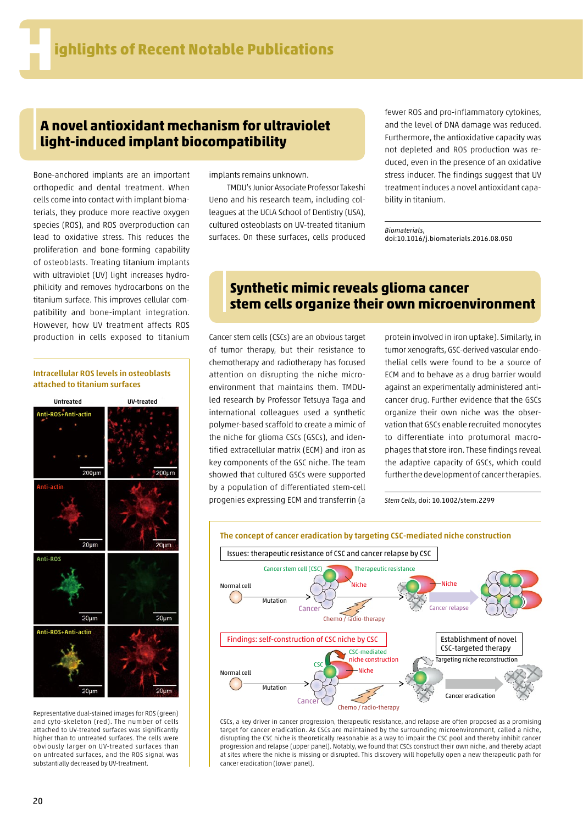#### **A novel antioxidant mechanism for ultraviolet light-induced implant biocompatibility**

Bone-anchored implants are an important orthopedic and dental treatment. When cells come into contact with implant biomaterials, they produce more reactive oxygen species (ROS), and ROS overproduction can lead to oxidative stress. This reduces the proliferation and bone-forming capability of osteoblasts. Treating titanium implants with ultraviolet (UV) light increases hydrophilicity and removes hydrocarbons on the titanium surface. This improves cellular compatibility and bone-implant integration. However, how UV treatment affects ROS production in cells exposed to titanium Cancer stem cells (CSCs) are an obvious target

#### Intracellular ROS levels in osteoblasts attached to titanium surfaces



Representative dual-stained images for ROS (green) and cyto-skeleton (red). The number of cells attached to UV-treated surfaces was significantly higher than to untreated surfaces. The cells were obviously larger on UV-treated surfaces than on untreated surfaces, and the ROS signal was substantially decreased by UV-treatment.

implants remains unknown.

TMDU's Junior Associate Professor Takeshi Ueno and his research team, including colleagues at the UCLA School of Dentistry (USA), cultured osteoblasts on UV-treated titanium surfaces. On these surfaces, cells produced

fewer ROS and pro-inflammatory cytokines, and the level of DNA damage was reduced. Furthermore, the antioxidative capacity was not depleted and ROS production was reduced, even in the presence of an oxidative stress inducer. The findings suggest that UV treatment induces a novel antioxidant capability in titanium.

*Biomaterials*, doi:10.1016/j.biomaterials.2016.08.050

#### **Synthetic mimic reveals glioma cancer stem cells organize their own microenvironment**

of tumor therapy, but their resistance to chemotherapy and radiotherapy has focused attention on disrupting the niche microenvironment that maintains them. TMDUled research by Professor Tetsuya Taga and international colleagues used a synthetic polymer-based scaffold to create a mimic of the niche for glioma CSCs (GSCs), and identified extracellular matrix (ECM) and iron as key components of the GSC niche. The team showed that cultured GSCs were supported by a population of differentiated stem-cell progenies expressing ECM and transferrin (a

protein involved in iron uptake). Similarly, in tumor xenografts, GSC-derived vascular endothelial cells were found to be a source of ECM and to behave as a drug barrier would against an experimentally administered anticancer drug. Further evidence that the GSCs organize their own niche was the observation that GSCs enable recruited monocytes to differentiate into protumoral macrophages that store iron. These findings reveal the adaptive capacity of GSCs, which could further the development of cancer therapies.

*Stem Cells*, doi: 10.1002/stem.2299



CSCs, a key driver in cancer progression, therapeutic resistance, and relapse are often proposed as a promising target for cancer eradication. As CSCs are maintained by the surrounding microenvironment, called a niche, disrupting the CSC niche is theoretically reasonable as a way to impair the CSC pool and thereby inhibit cancer progression and relapse (upper panel). Notably, we found that CSCs construct their own niche, and thereby adapt at sites where the niche is missing or disrupted. This discovery will hopefully open a new therapeutic path for cancer eradication (lower panel).